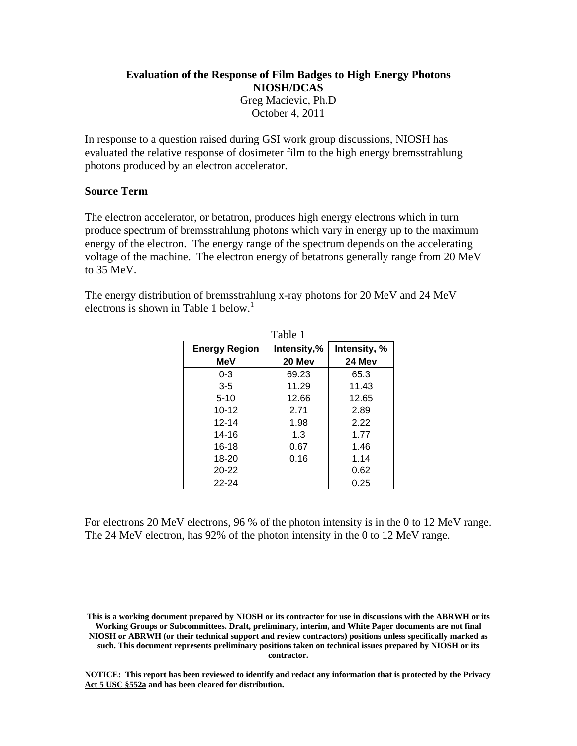# **Evaluation of the Response of Film Badges to High Energy Photons NIOSH/DCAS** Greg Macievic, Ph.D October 4, 2011

In response to a question raised during GSI work group discussions, NIOSH has evaluated the relative response of dosimeter film to the high energy bremsstrahlung photons produced by an electron accelerator.

## **Source Term**

The electron accelerator, or betatron, produces high energy electrons which in turn produce spectrum of bremsstrahlung photons which vary in energy up to the maximum energy of the electron. The energy range of the spectrum depends on the accelerating voltage of the machine. The electron energy of betatrons generally range from 20 MeV to 35 MeV.

electrons is shown in Table 1 below.<sup>1</sup> The energy distribution of bremsstrahlung x-ray photons for 20 MeV and 24 MeV

| Table 1              |             |              |  |  |  |  |
|----------------------|-------------|--------------|--|--|--|--|
| <b>Energy Region</b> | Intensity,% | Intensity, % |  |  |  |  |
| <b>MeV</b>           | 20 Mev      | 24 Mev       |  |  |  |  |
| $0 - 3$              | 69.23       | 65.3         |  |  |  |  |
| $3 - 5$              | 11.29       | 11.43        |  |  |  |  |
| $5 - 10$             | 12.66       | 12.65        |  |  |  |  |
| $10 - 12$            | 2.71        | 2.89         |  |  |  |  |
| $12 - 14$            | 1.98        | 2.22         |  |  |  |  |
| 14-16                | 1.3         | 1.77         |  |  |  |  |
| $16 - 18$            | 0.67        | 1.46         |  |  |  |  |
| 18-20                | 0.16        | 1.14         |  |  |  |  |
| $20 - 22$            |             | 0.62         |  |  |  |  |
| 22-24                |             | 0.25         |  |  |  |  |

For electrons 20 MeV electrons, 96 % of the photon intensity is in the 0 to 12 MeV range. The 24 MeV electron, has 92% of the photon intensity in the 0 to 12 MeV range.

**This is a working document prepared by NIOSH or its contractor for use in discussions with the ABRWH or its Working Groups or Subcommittees. Draft, preliminary, interim, and White Paper documents are not final NIOSH or ABRWH (or their technical support and review contractors) positions unless specifically marked as such. This document represents preliminary positions taken on technical issues prepared by NIOSH or its contractor.**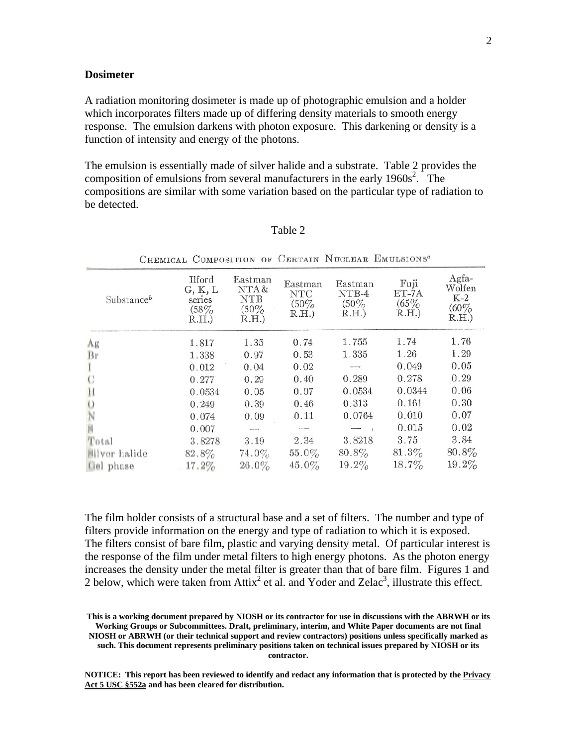### **Dosimeter**

A radiation monitoring dosimeter is made up of photographic emulsion and a holder which incorporates filters made up of differing density materials to smooth energy response. The emulsion darkens with photon exposure. This darkening or density is a function of intensity and energy of the photons.

The emulsion is essentially made of silver halide and a substrate. Table 2 provides the composition of emulsions from several manufacturers in the early  $1960s^2$ . The compositions are similar with some variation based on the particular type of radiation to be detected.

| Substanceb    | Ilford<br>G, K, L<br>series<br>(58%<br>R.H. | Eastman<br>NTA&<br><b>NTB</b><br>$(50\%$<br>R.H. | Eastman<br><b>NTC</b><br>$(50\%$<br>R.H. | Eastman<br>NTB-4<br>$(50\%$<br>R.H. | Fuji<br>ET-7A<br>$(65\%$<br>R.H. | Agfa-<br>Wolfen<br>$K-2$<br>(60%<br>R.H.) |
|---------------|---------------------------------------------|--------------------------------------------------|------------------------------------------|-------------------------------------|----------------------------------|-------------------------------------------|
| Ag            | 1.817                                       | 1.35                                             | 0.74                                     | 1.755                               | 1.74                             | 1.76                                      |
| Br            | 1.338                                       | 0.97                                             | 0.53                                     | 1.335                               | 1.26                             | 1.29                                      |
|               | 0.012                                       | 0.04                                             | 0.02                                     |                                     | 0.049                            | 0.05                                      |
|               | 0.277                                       | 0.29                                             | 0.40                                     | 0.289                               | 0.278                            | 0.29                                      |
|               | 0.0534                                      | 0.05                                             | 0.07                                     | 0.0534                              | 0.0344                           | 0.06                                      |
|               | 0.249                                       | 0.39                                             | 0.46                                     | 0.313                               | 0.161                            | 0.30                                      |
|               | 0.074                                       | 0.09                                             | 0.11                                     | 0.0764                              | 0.010                            | 0.07                                      |
|               | 0.007                                       |                                                  |                                          |                                     | 0.015                            | 0.02                                      |
| Total         | 3.8278                                      | 3.19                                             | 2.34                                     | 3.8218                              | 3.75                             | 3.84                                      |
| illver halide | 82.8%                                       | 74.0%                                            | $55.0\%$                                 | $80.8\%$                            | $81.3\%$                         | $80.8\%$                                  |
| Gel phase     | $17.2\%$                                    | $26.0\%$                                         | $45.0\%$                                 | $19.2\%$                            | $18.7\%$                         | $19.2\%$                                  |

| . . |  |
|-----|--|
|     |  |

CHEMICAL COMPOSITION OF CERTAIN NUCLEAR EMULSIONS<sup>®</sup>

The film holder consists of a structural base and a set of filters. The number and type of filters provide information on the energy and type of radiation to which it is exposed. The filters consist of bare film, plastic and varying density metal. Of particular interest is the response of the film under metal filters to high energy photons. As the photon energy increases the density under the metal filter is greater than that of bare film. Figures 1 and 2 below, which were taken from Attix<sup>2</sup> et al. and Yoder and Zelac<sup>3</sup>, illustrate this effect.

**This is a working document prepared by NIOSH or its contractor for use in discussions with the ABRWH or its Working Groups or Subcommittees. Draft, preliminary, interim, and White Paper documents are not final NIOSH or ABRWH (or their technical support and review contractors) positions unless specifically marked as such. This document represents preliminary positions taken on technical issues prepared by NIOSH or its contractor.**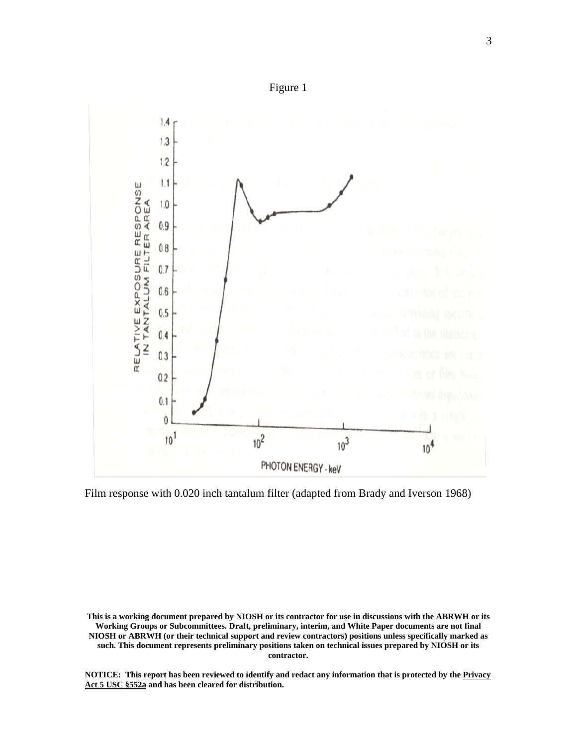

Film response with 0.020 inch tantalum filter (adapted from Brady and Iverson 1968)

This is a working document prepared by NIOSH or its contractor for use in discussions with the ABRWH or its Working Groups or Subcommittees. Draft, preliminary, interim, and White Paper documents are not final NIOSH or ABRWH (or their technical support and review contractors) positions unless specifically marked as **such. This document represents preliminary positions taken on technical issues prepared by NIOSH or its contractor.**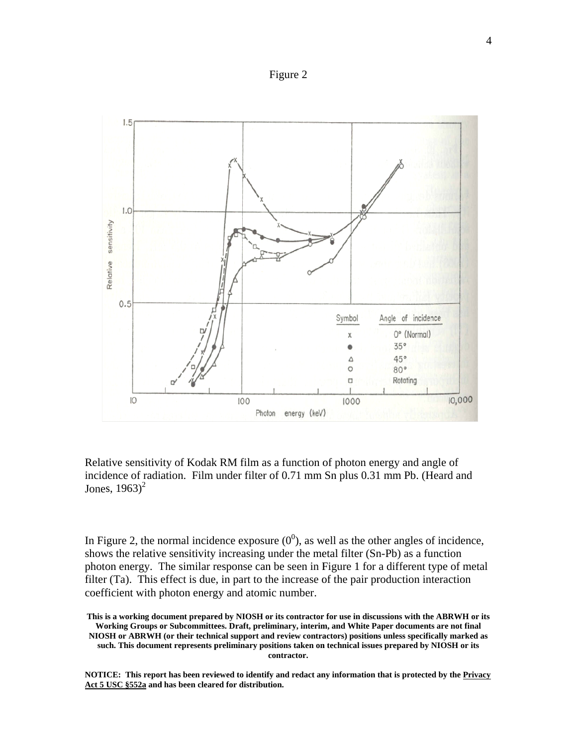Figure 2



Jones,  $1963)^2$ Relative sensitivity of Kodak RM film as a function of photon energy and angle of incidence of radiation. Film under filter of 0.71 mm Sn plus 0.31 mm Pb. (Heard and

In Figure 2, the normal incidence exposure  $(0^0)$ , as well as the other angles of incidence, shows the relative sensitivity increasing under the metal filter (Sn-Pb) as a function photon energy. The similar response can be seen in Figure 1 for a different type of metal filter (Ta). This effect is due, in part to the increase of the pair production interaction coefficient with photon energy and atomic number.

This is a working document prepared by NIOSH or its contractor for use in discussions with the ABRWH or its Working Groups or Subcommittees. Draft, preliminary, interim, and White Paper documents are not final **NIOSH** or ABRWH (or their technical support and review contractors) positions unless specifically marked as **such. This document represents preliminary positions taken on technical issues prepared by NIOSH or its contractor.**